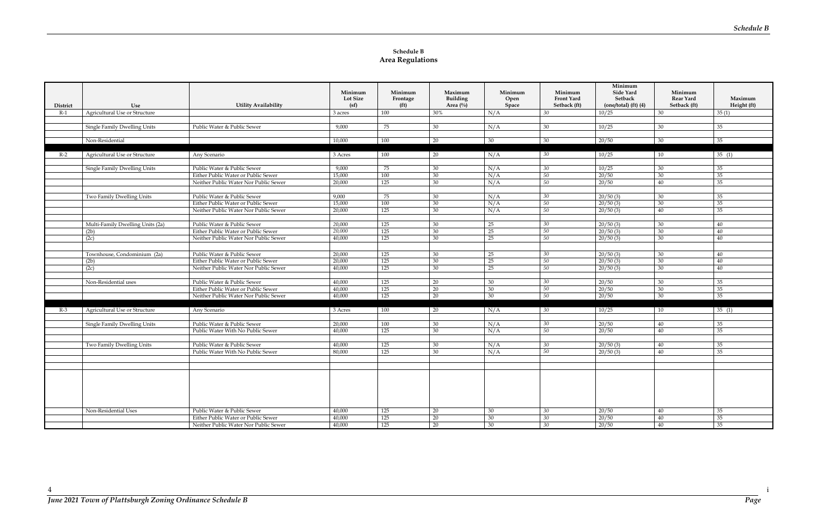## **Schedule B Area Regulations**

|          |                                     |                                       |                         |                               |                                |                      |                       | Minimum                    |                      |             |
|----------|-------------------------------------|---------------------------------------|-------------------------|-------------------------------|--------------------------------|----------------------|-----------------------|----------------------------|----------------------|-------------|
|          |                                     |                                       | Minimum                 | Minimum                       | Maximum                        | Minimum              | Minimum<br>Front Yard | Side Yard<br>Setback       | Minimum<br>Rear Yard | Maximum     |
| District | Use                                 | <b>Utility Availability</b>           | <b>Lot Size</b><br>(sf) | Frontage<br>(f <sup>t</sup> ) | Building<br>Area $(^{0}/_{0})$ | Open<br><b>Space</b> | Setback (ft)          | $(one/total)$ $(ft)$ $(4)$ | Setback (ft)         | Height (ft) |
| $R-1$    | Agricultural Use or Structure       |                                       | 3 acres                 | $100\,$                       | 30%                            | N/A                  | 30                    | 10/25                      | 30                   | 35(1)       |
|          |                                     |                                       |                         |                               |                                |                      |                       |                            |                      |             |
|          | Single Family Dwelling Units        | Public Water & Public Sewer           | 9.000                   | 75                            | 30                             | N/A                  | 30                    | 10/25                      | 30                   | 35          |
|          |                                     |                                       |                         |                               |                                |                      |                       |                            |                      |             |
|          | Non-Residential                     |                                       | 10,000                  | 100                           | 20                             | 30                   | 30                    | 20/50                      | 30                   | 35          |
|          |                                     |                                       |                         |                               |                                |                      |                       |                            |                      |             |
| $R-2$    | Agricultural Use or Structure       | Any Scenario                          | 3 Acres                 | 100                           | 20                             | N/A                  | 30                    | 10/25                      | 10                   | 35(1)       |
|          |                                     |                                       |                         |                               |                                |                      |                       |                            |                      |             |
|          | Single Family Dwelling Units        | Public Water & Public Sewer           | 9.000                   | 75                            | 30                             | N/A                  | 30                    | 10/25                      | 30                   | 35          |
|          |                                     | Either Public Water or Public Sewer   | 15,000                  | 100                           | 30                             | N/A                  | 50                    | 20/50                      | 30                   | 35          |
|          |                                     | Neither Public Water Nor Public Sewer | 20,000                  | 125                           | 30                             | N/A                  | 50                    | 20/50                      | 40                   | 35          |
|          |                                     |                                       |                         |                               |                                |                      |                       |                            |                      |             |
|          | Two Family Dwelling Units           | Public Water & Public Sewer           | 9,000                   | 75                            | 30                             | N/A                  | 30                    | 20/50(3)                   | 30                   | 35          |
|          |                                     | Either Public Water or Public Sewer   | 15,000                  | 100                           | 30                             | N/A                  | $\overline{50}$       | 20/50(3)                   | 30                   | 35          |
|          |                                     | Neither Public Water Nor Public Sewer | 20,000                  | 125                           | 30                             | N/A                  | 50                    | 20/50(3)                   | 40                   | 35          |
|          |                                     |                                       |                         |                               |                                |                      |                       |                            |                      |             |
|          | Multi-Family Dwelling Units (2a)    | Public Water & Public Sewer           | 20,000                  | 125                           | 30                             | 25                   | 30                    | 20/50(3)                   | 30                   | 40          |
|          | (2b)                                | Either Public Water or Public Sewer   | 20.000                  | 125                           | 30                             | 25                   | 50                    | 20/50(3)                   | 30                   | 40          |
|          | (2c)                                | Neither Public Water Nor Public Sewer | 40,000                  | 125                           | 30                             | 25                   | 50                    | 20/50(3)                   | 30                   | 40          |
|          |                                     |                                       |                         |                               |                                |                      |                       |                            |                      |             |
|          | Townhouse, Condominium (2a)         | Public Water & Public Sewer           | 20,000                  | 125                           | 30                             | 25                   | 30                    | 20/50(3)                   | 30                   | 40          |
|          | (2b)                                | Either Public Water or Public Sewer   | 20,000                  | 125                           | 30                             | 25                   | 50                    | 20/50(3)                   | 30                   | 40          |
|          | (2c)                                | Neither Public Water Nor Public Sewer | 40,000                  | 125                           | 30                             | 25                   | 50                    | 20/50(3)                   | 30                   | 40          |
|          |                                     |                                       |                         |                               |                                |                      |                       |                            |                      |             |
|          | Non-Residential uses                | Public Water & Public Sewer           | 40,000                  | 125                           | 20                             | 30                   | 30                    | 20/50                      | 30                   | 35          |
|          |                                     | Either Public Water or Public Sewer   | 40,000                  | 125                           | 20                             | 30                   | 50                    | 20/50                      | 30                   | 35          |
|          |                                     | Neither Public Water Nor Public Sewer | 40,000                  | 125                           | $\overline{20}$                | 30                   | 50                    | 20/50                      | 30                   | 35          |
|          |                                     |                                       |                         |                               |                                |                      |                       |                            |                      |             |
| $R-3$    | Agricultural Use or Structure       | Any Scenario                          | 3 Acres                 | 100                           | 20                             | N/A                  | 30                    | 10/25                      | 10                   | 35(1)       |
|          |                                     |                                       |                         |                               |                                |                      |                       |                            |                      |             |
|          | <b>Single Family Dwelling Units</b> | Public Water & Public Sewer           | 20,000                  | 100                           | 30                             | N/A                  | 30                    | 20/50                      | 40                   | 35          |
|          |                                     | Public Water With No Public Sewer     | 40,000                  | 125                           | 30                             | N/A                  | 50                    | 20/50                      | 40                   | 35          |
|          |                                     | Public Water & Public Sewer           | 40,000                  | 125                           | 30                             |                      | 30                    |                            | 40                   | 35          |
|          | Two Family Dwelling Units           |                                       | 80,000                  | 125                           | 30                             | N/A                  | 50                    | 20/50(3)                   | 40                   | 35          |
|          |                                     | Public Water With No Public Sewer     |                         |                               |                                | N/A                  |                       | 20/50(3)                   |                      |             |
|          |                                     |                                       |                         |                               |                                |                      |                       |                            |                      |             |
|          |                                     |                                       |                         |                               |                                |                      |                       |                            |                      |             |
|          |                                     |                                       |                         |                               |                                |                      |                       |                            |                      |             |
|          |                                     |                                       |                         |                               |                                |                      |                       |                            |                      |             |
|          |                                     |                                       |                         |                               |                                |                      |                       |                            |                      |             |
|          |                                     |                                       |                         |                               |                                |                      |                       |                            |                      |             |
|          |                                     |                                       |                         |                               |                                |                      |                       |                            |                      |             |
|          | Non-Residential Uses                | Public Water & Public Sewer           | 40,000                  | 125                           | 20                             | 30                   | 30                    | 20/50                      | 40                   | 35          |
|          |                                     | Either Public Water or Public Sewer   | 40,000                  | 125                           | 20                             | 30                   | 30                    | 20/50                      | 40                   | 35          |
|          |                                     | Neither Public Water Nor Public Sewer | 40,000                  | 125                           | 20                             | 30                   | 30                    | 20/50                      | 40                   | 35          |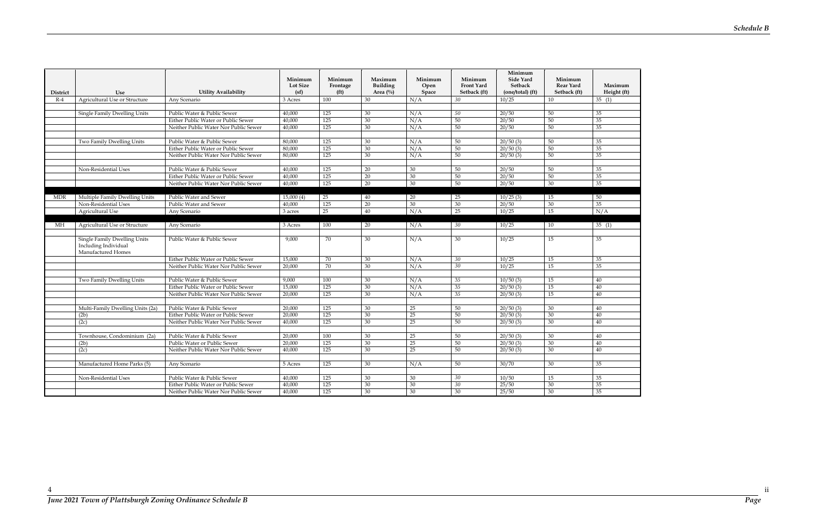| <b>District</b> | Use                                                                               | <b>Utility Availability</b>                      | Minimum<br><b>Lot Size</b><br>(sf) | Minimum<br>Frontage<br>(f <sup>t</sup> ) | Maximum<br><b>Building</b><br>Area $(\frac{0}{0})$ | Minimum<br>Open<br>Space | Minimum<br>Front Yard<br>Setback (ft) | Minimum<br><b>Side Yard</b><br><b>Setback</b><br>(one/total) (ft) | Minimum<br><b>Rear Yard</b><br>Setback (ft) | Maximum<br>Height (ft) |
|-----------------|-----------------------------------------------------------------------------------|--------------------------------------------------|------------------------------------|------------------------------------------|----------------------------------------------------|--------------------------|---------------------------------------|-------------------------------------------------------------------|---------------------------------------------|------------------------|
| $R-4$           | <b>Agricultural Use or Structure</b>                                              | Any Scenario                                     | 3 Acres                            | 100                                      | 30                                                 | N/A                      | 30                                    | 10/25                                                             | 10                                          | 35(1)                  |
|                 |                                                                                   |                                                  |                                    |                                          |                                                    |                          |                                       |                                                                   |                                             |                        |
|                 | Single Family Dwelling Units                                                      | Public Water & Public Sewer                      | 40,000                             | 125                                      | 30                                                 | N/A                      | 50                                    | 20/50                                                             | 50                                          | 35                     |
|                 |                                                                                   | Either Public Water or Public Sewer              | 40,000                             | 125                                      | 30                                                 | N/A                      | 50                                    | 20/50                                                             | 50                                          | 35                     |
|                 |                                                                                   | Neither Public Water Nor Public Sewer            | 40,000                             | 125                                      | 30                                                 | N/A                      | 50                                    | 20/50                                                             | 50                                          | $\overline{35}$        |
|                 |                                                                                   |                                                  |                                    |                                          |                                                    |                          |                                       |                                                                   |                                             |                        |
|                 | Two Family Dwelling Units                                                         | Public Water & Public Sewer                      | 80,000                             | 125                                      | 30                                                 | N/A                      | 50                                    | 20/50(3)                                                          | 50                                          | 35                     |
|                 |                                                                                   | Either Public Water or Public Sewer              | 80,000                             | 125                                      | 30                                                 | N/A                      | 50                                    | 20/50(3)                                                          | 50                                          | 35                     |
|                 |                                                                                   | Neither Public Water Nor Public Sewer            | 80,000                             | 125                                      | 30                                                 | N/A                      | 50                                    | 20/50(3)                                                          | 50                                          | 35                     |
|                 |                                                                                   |                                                  |                                    |                                          |                                                    |                          |                                       |                                                                   |                                             |                        |
|                 | Non-Residential Uses                                                              | Public Water & Public Sewer                      | 40,000                             | 125                                      | 20                                                 | 30                       | 50                                    | 20/50                                                             | 50                                          | 35                     |
|                 |                                                                                   | Either Public Water or Public Sewer              | 40,000                             | 125                                      | 20                                                 | 30                       | 50                                    | 20/50                                                             | 50                                          | 35                     |
|                 |                                                                                   | Neither Public Water Nor Public Sewer            | 40,000                             | 125                                      | 20                                                 | 30                       | 50                                    | 20/50                                                             | 30                                          | 35                     |
|                 |                                                                                   |                                                  |                                    |                                          |                                                    |                          |                                       |                                                                   |                                             |                        |
| <b>MDR</b>      | Multiple Family Dwelling Units<br>Non-Residential Uses                            | Public Water and Sewer<br>Public Water and Sewer | 15,000(4)<br>40,000                | 25<br>125                                | 40<br>20                                           | 20<br>30                 | 25<br>$\overline{30}$                 | 10/25(3)                                                          | 15<br>30                                    | 50<br>35               |
|                 | Agricultural Use                                                                  |                                                  |                                    | $\overline{25}$                          | 40                                                 | N/A                      | 25                                    | 20/50<br>10/25                                                    | 15                                          | N/A                    |
|                 |                                                                                   | Any Scenario                                     | 3 acres                            |                                          |                                                    |                          |                                       |                                                                   |                                             |                        |
| МH              | Agricultural Use or Structure                                                     | Any Scenario                                     | 3 Acres                            | 100                                      | 20                                                 | N/A                      | 30                                    | 10/25                                                             | 10                                          | 35(1)                  |
|                 |                                                                                   |                                                  |                                    |                                          |                                                    |                          |                                       |                                                                   |                                             |                        |
|                 | <b>Single Family Dwelling Units</b><br>Including Individual<br>Manufactured Homes | Public Water & Public Sewer                      | 9,000                              | 70                                       | 30                                                 | N/A                      | 30                                    | 10/25                                                             | 15                                          | 35                     |
|                 |                                                                                   | Either Public Water or Public Sewer              | 15,000                             | 70                                       | 30                                                 | N/A                      | 30                                    | 10/25                                                             | 15                                          | 35                     |
|                 |                                                                                   | Neither Public Water Nor Public Sewer            | 20,000                             | 70                                       | 30                                                 | N/A                      | 30                                    | 10/25                                                             | 15                                          | 35                     |
|                 |                                                                                   |                                                  |                                    |                                          |                                                    |                          |                                       |                                                                   |                                             |                        |
|                 | Two Family Dwelling Units                                                         | Public Water & Public Sewer                      | 9,000                              | 100                                      | 30                                                 | N/A                      | 35                                    | 10/50(3)                                                          | 15                                          | 40                     |
|                 |                                                                                   | Either Public Water or Public Sewer              | 15,000                             | 125                                      | 30                                                 | N/A                      | 35                                    | 20/50(3)                                                          | 15                                          | 40                     |
|                 |                                                                                   | Neither Public Water Nor Public Sewer            | 20,000                             | 125                                      | 30                                                 | N/A                      | 35                                    | 20/50(3)                                                          | 15                                          | 40                     |
|                 |                                                                                   |                                                  |                                    |                                          |                                                    |                          |                                       |                                                                   |                                             |                        |
|                 | Multi-Family Dwelling Units (2a)                                                  | Public Water & Public Sewer                      | 20,000                             | 125                                      | 30                                                 | 25                       | 50                                    | 20/50(3)                                                          | 30                                          | 40                     |
|                 | (2b)                                                                              | Either Public Water or Public Sewer              | 20,000                             | 125                                      | 30                                                 | 25                       | 50                                    | 20/50(3)                                                          | 30                                          | 40                     |
|                 | (2c)                                                                              | Neither Public Water Nor Public Sewer            | 40,000                             | 125                                      | 30                                                 | 25                       | 50                                    | 20/50(3)                                                          | 30                                          | 40                     |
|                 |                                                                                   |                                                  |                                    |                                          |                                                    |                          |                                       |                                                                   |                                             |                        |
|                 | Townhouse, Condominium (2a)                                                       | Public Water & Public Sewer                      | 20,000                             | 100<br>125                               | 30                                                 | 25<br>25                 | 50                                    | 20/50(3)                                                          | 30                                          | 40                     |
|                 | (2b)                                                                              | Public Water or Public Sewer                     | 20,000                             | 125                                      | 30                                                 |                          | 50                                    | 20/50(3)<br>20/50(3)                                              | 30                                          | 40<br>40               |
|                 | (2c)                                                                              | Neither Public Water Nor Public Sewer            | 40,000                             |                                          | 30                                                 | 25                       | 50                                    |                                                                   | 30                                          |                        |
|                 | Manufactured Home Parks (5)                                                       | Any Scenario                                     | 5 Acres                            | 125                                      | 30                                                 | N/A                      | 50                                    | 30/70                                                             | 30                                          | 35                     |
|                 |                                                                                   |                                                  |                                    |                                          |                                                    |                          |                                       |                                                                   |                                             |                        |
|                 | Non-Residential Uses                                                              | Public Water & Public Sewer                      | 40,000                             | 125                                      | 30                                                 | 30                       | 30                                    | 10/50                                                             | 15                                          | 35                     |
|                 |                                                                                   | Either Public Water or Public Sewer              | 40,000                             | 125                                      | 30                                                 | 30                       | 30                                    | 25/50                                                             | 30                                          | 35                     |
|                 |                                                                                   | Neither Public Water Nor Public Sewer            | 40,000                             | 125                                      | 30                                                 | 30                       | 30                                    | 25/50                                                             | 30                                          | 35                     |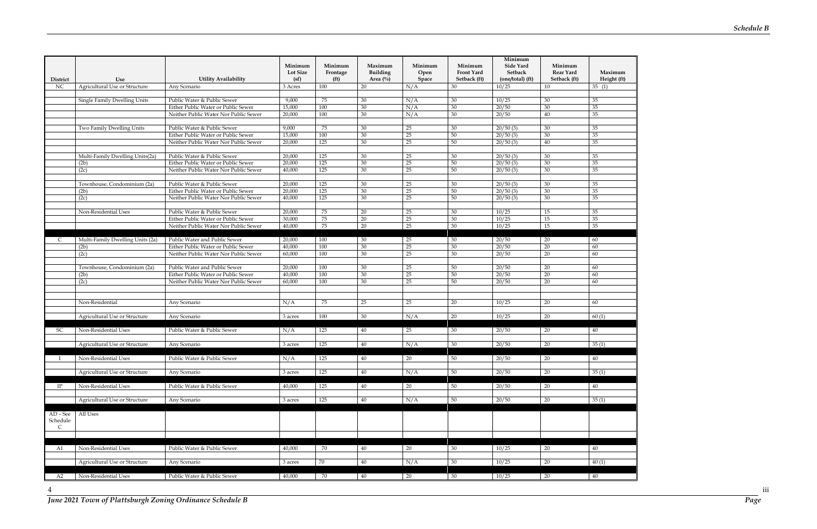*June 2021 Town of Plattsburgh Zoning Ordinance Schedule B Page*

| District                    | Use                              | <b>Utility Availability</b>                                          | Minimum<br><b>Lot Size</b><br>(sf) | Minimum<br>Frontage<br>(f <sup>t</sup> ) | Maximum<br><b>Building</b><br>Area $(\%)$ | Minimum<br>Open<br>Space | Minimum<br>Front Yard<br>Setback (ft) | Minimum<br>Side Yard<br>Setback<br>(one/total) (ft) | Minimum<br><b>Rear Yard</b><br>Setback (ft) | Maximum<br>Height (ft) |
|-----------------------------|----------------------------------|----------------------------------------------------------------------|------------------------------------|------------------------------------------|-------------------------------------------|--------------------------|---------------------------------------|-----------------------------------------------------|---------------------------------------------|------------------------|
| <b>NC</b>                   | Agricultural Use or Structure    | Any Scenario                                                         | 3 Acres                            | 100                                      | 20                                        | N/A                      | 30                                    | 10/25                                               | 10                                          | $\overline{35}$ (1)    |
|                             |                                  |                                                                      |                                    |                                          |                                           |                          |                                       |                                                     |                                             |                        |
|                             | Single Family Dwelling Units     | Public Water & Public Sewer<br>Either Public Water or Public Sewer   | 9,000<br>15,000                    | 75<br>100                                | 30                                        | N/A<br>N/A               | 30<br>30                              | 10/25<br>20/50                                      | 30<br>30                                    | 35<br>35               |
|                             |                                  | Neither Public Water Nor Public Sewer                                | 20,000                             | 100                                      | 30<br>30                                  | N/A                      | 30                                    | 20/50                                               | 40                                          | 35                     |
|                             |                                  |                                                                      |                                    |                                          |                                           |                          |                                       |                                                     |                                             |                        |
|                             | Two Family Dwelling Units        | Public Water & Public Sewer                                          | 9,000                              | 75                                       | 30                                        | 25                       | 30                                    | 20/50(3)                                            | 30                                          | 35                     |
|                             |                                  | Either Public Water or Public Sewer                                  | 15,000                             | 100                                      | 30                                        | $\overline{25}$          | 50                                    | 20/50(3)                                            | 30                                          | 35                     |
|                             |                                  | Neither Public Water Nor Public Sewer                                | 20,000                             | 125                                      | 30                                        | 25                       | 50                                    | 20/50(3)                                            | 40                                          | 35                     |
|                             |                                  |                                                                      |                                    |                                          |                                           |                          |                                       |                                                     |                                             |                        |
|                             | Multi-Family Dwelling Units(2a)  | Public Water & Public Sewer                                          | 20,000                             | 125                                      | 30                                        | 25                       | 30                                    | 20/50(3)                                            | 30                                          | 35                     |
|                             | (2b)                             | Either Public Water or Public Sewer                                  | 20,000                             | 125                                      | 30                                        | 25                       | 50                                    | 20/50(3)                                            | 30                                          | 35                     |
|                             | (2c)                             | Neither Public Water Nor Public Sewer                                | 40,000                             | 125                                      | 30                                        | 25                       | 50                                    | 20/50(3)                                            | 30                                          | 35                     |
|                             | Townhouse, Condominium (2a)      | Public Water & Public Sewer                                          | 20,000                             | 125                                      | 30                                        | 25                       | 30                                    | 20/50(3)                                            | 30                                          | 35                     |
|                             | (2b)                             | Either Public Water or Public Sewer                                  | 20,000                             | 125                                      | 30                                        | 25                       | 50                                    | 20/50(3)                                            | 30                                          | 35                     |
|                             | (2c)                             | Neither Public Water Nor Public Sewer                                | 40,000                             | 125                                      | 30                                        | $\overline{25}$          | 50                                    | 20/50(3)                                            | 30                                          | 35                     |
|                             |                                  |                                                                      |                                    |                                          |                                           |                          |                                       |                                                     |                                             |                        |
|                             | Non-Residential Uses             | Public Water & Public Sewer                                          | 20,000                             | 75                                       | 20                                        | 25                       | 30                                    | 10/25                                               | 15                                          | 35                     |
|                             |                                  | Either Public Water or Public Sewer                                  | 30,000                             | 75                                       | 20                                        | 25                       | 30                                    | 10/25                                               | 15                                          | 35                     |
|                             |                                  | Neither Public Water Nor Public Sewer                                | 40,000                             | 75                                       | 20                                        | $25\,$                   | 30                                    | 10/25                                               | 15                                          | 35                     |
|                             |                                  |                                                                      |                                    |                                          |                                           |                          |                                       |                                                     |                                             |                        |
| C.                          | Multi-Family Dwelling Units (2a) | Public Water and Public Sewer<br>Either Public Water or Public Sewer | 20,000                             | 100<br>100                               | 30                                        | 25<br>$\overline{25}$    | 30                                    | 20/50<br>20/50                                      | 20<br>20                                    | 60<br>60               |
|                             | (2b)<br>(2c)                     | Neither Public Water Nor Public Sewer                                | 40,000<br>60,000                   | 100                                      | 30<br>30                                  | $\overline{25}$          | $30\,$<br>30                          | 20/50                                               | 20                                          | 60                     |
|                             |                                  |                                                                      |                                    |                                          |                                           |                          |                                       |                                                     |                                             |                        |
|                             | Townhouse, Condominium (2a)      | Public Water and Public Sewer                                        | 20,000                             | 100                                      | 30                                        | 25                       | 50                                    | 20/50                                               | 20                                          | 60                     |
|                             | (2b)                             | Either Public Water or Public Sewer                                  | 40,000                             | 100                                      | 30                                        | $\overline{25}$          | 50                                    | 20/50                                               | 20                                          | 60                     |
|                             | (2c)                             | Neither Public Water Nor Public Sewer                                | 60,000                             | 100                                      | 30                                        | 25                       | 50                                    | 20/50                                               | 20                                          | 60                     |
|                             |                                  |                                                                      |                                    |                                          |                                           |                          |                                       |                                                     |                                             |                        |
|                             |                                  |                                                                      |                                    |                                          |                                           |                          |                                       |                                                     |                                             |                        |
|                             | Non-Residential                  | Any Scenario                                                         | N/A                                | 75                                       | 25                                        | 25                       | 20                                    | 10/25                                               | 20                                          | 60                     |
|                             |                                  |                                                                      |                                    | 100                                      |                                           |                          |                                       |                                                     |                                             |                        |
|                             | Agricultural Use or Structure    | Any Scenario                                                         | 3 acres                            |                                          | 30                                        | N/A                      | 20                                    | 10/25                                               | 20                                          | 60(1)                  |
| SC                          | Non-Residential Uses             | Public Water & Public Sewer                                          | N/A                                | 125                                      | 40                                        | 25                       | 30                                    | 20/50                                               | 20                                          | 40                     |
|                             |                                  |                                                                      |                                    |                                          |                                           |                          |                                       |                                                     |                                             |                        |
|                             | Agricultural Use or Structure    | Any Scenario                                                         | 3 acres                            | 125                                      | 40                                        | N/A                      | 30                                    | 20/50                                               | 20                                          | 35(1)                  |
|                             |                                  |                                                                      |                                    |                                          |                                           |                          |                                       |                                                     |                                             |                        |
|                             | Non-Residential Uses             | Public Water & Public Sewer                                          | N/A                                | $\overline{125}$                         | 40                                        | 20                       | 50                                    | 20/50                                               | 20                                          | 40                     |
|                             |                                  |                                                                      |                                    |                                          |                                           |                          |                                       |                                                     |                                             |                        |
|                             | Agricultural Use or Structure    | Any Scenario                                                         | 3 acres                            | $\overline{125}$                         | 40                                        | N/A                      | 50                                    | 20/50                                               | 20                                          | 35(1)                  |
| IP                          | Non-Residential Uses             | Public Water & Public Sewer                                          | 40,000                             | 125                                      | 40                                        | 20                       | 50                                    | 20/50                                               | 20                                          | 40                     |
|                             |                                  |                                                                      |                                    |                                          |                                           |                          |                                       |                                                     |                                             |                        |
|                             | Agricultural Use or Structure    | Any Scenario                                                         | 3 acres                            | $\overline{125}$                         | 40                                        | N/A                      | 50                                    | 20/50                                               | 20                                          | 35(1)                  |
|                             |                                  |                                                                      |                                    |                                          |                                           |                          |                                       |                                                     |                                             |                        |
| $AD - See$<br>Schedule<br>C | All Uses                         |                                                                      |                                    |                                          |                                           |                          |                                       |                                                     |                                             |                        |
|                             |                                  |                                                                      |                                    |                                          |                                           |                          |                                       |                                                     |                                             |                        |
| A1                          | Non-Residential Uses             | Public Water & Public Sewer                                          | 40,000                             | 70                                       | 40                                        | 20                       | 30                                    | 10/25                                               | 20                                          | 40                     |
|                             |                                  |                                                                      |                                    |                                          |                                           |                          |                                       |                                                     |                                             |                        |
|                             | Agricultural Use or Structure    | Any Scenario                                                         | 3 acres                            | 70                                       | 40                                        | N/A                      | 30                                    | 10/25                                               | 20                                          | 40(1)                  |
|                             |                                  |                                                                      |                                    |                                          |                                           |                          |                                       |                                                     |                                             |                        |
| A2                          | Non-Residential Uses             | Public Water & Public Sewer                                          | 40,000                             | 70                                       | 40                                        | 20                       | 30                                    | 10/25                                               | 20                                          | 40                     |